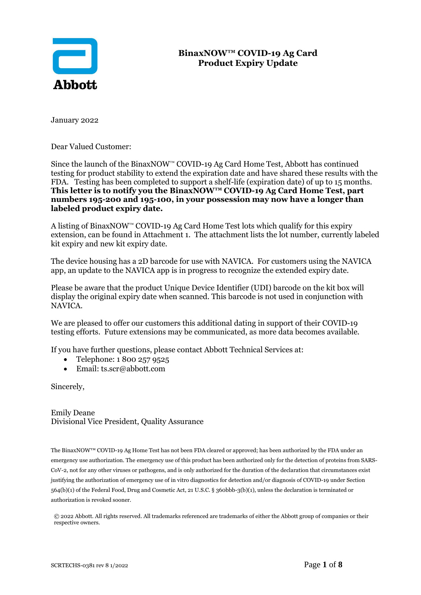

## **BinaxNOW™ COVID-19 Ag Card Product Expiry Update**

January 2022

Dear Valued Customer:

Since the launch of the BinaxNOW™ COVID-19 Ag Card Home Test, Abbott has continued testing for product stability to extend the expiration date and have shared these results with the FDA. Testing has been completed to support a shelf-life (expiration date) of up to 15 months. **This letter is to notify you the BinaxNOW™ COVID-19 Ag Card Home Test, part numbers 195-200 and 195-100, in your possession may now have a longer than labeled product expiry date.** 

A listing of BinaxNOW<sup>™</sup> COVID-19 Ag Card Home Test lots which qualify for this expiry extension, can be found in Attachment 1. The attachment lists the lot number, currently labeled kit expiry and new kit expiry date.

The device housing has a 2D barcode for use with NAVICA. For customers using the NAVICA app, an update to the NAVICA app is in progress to recognize the extended expiry date.

Please be aware that the product Unique Device Identifier (UDI) barcode on the kit box will display the original expiry date when scanned. This barcode is not used in conjunction with NAVICA.

We are pleased to offer our customers this additional dating in support of their COVID-19 testing efforts. Future extensions may be communicated, as more data becomes available.

If you have further questions, please contact Abbott Technical Services at:

- Telephone: 1 800 257 9525
- Email: ts.scr@abbott.com

Sincerely,

Emily Deane Divisional Vice President, Quality Assurance

The BinaxNOW™ COVID-19 Ag Home Test has not been FDA cleared or approved; has been authorized by the FDA under an emergency use authorization. The emergency use of this product has been authorized only for the detection of proteins from SARS-CoV-2, not for any other viruses or pathogens, and is only authorized for the duration of the declaration that circumstances exist justifying the authorization of emergency use of in vitro diagnostics for detection and/or diagnosis of COVID-19 under Section 564(b)(1) of the Federal Food, Drug and Cosmetic Act, 21 U.S.C. § 360bbb-3(b)(1), unless the declaration is terminated or authorization is revoked sooner.

© 2022 Abbott. All rights reserved. All trademarks referenced are trademarks of either the Abbott group of companies or their respective owners.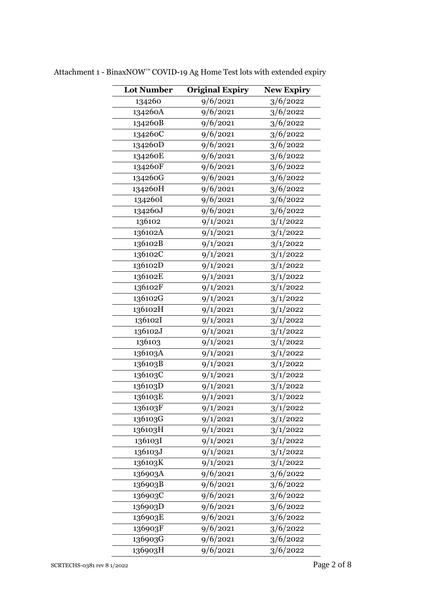| Lot Number | <b>Original Expiry</b> | <b>New Expiry</b> |
|------------|------------------------|-------------------|
| 134260     | 9/6/2021               | 3/6/2022          |
| 134260A    | 9/6/2021               | 3/6/2022          |
| 134260B    | 9/6/2021               | 3/6/2022          |
| 13426oC    | 9/6/2021               | 3/6/2022          |
| 134260D    | 9/6/2021               | 3/6/2022          |
| 134260E    | 9/6/2021               | 3/6/2022          |
| 134260F    | 9/6/2021               | 3/6/2022          |
| 134260G    | 9/6/2021               | 3/6/2022          |
| 134260H    | 9/6/2021               | 3/6/2022          |
| 134260I    | 9/6/2021               | 3/6/2022          |
| 134260J    | 9/6/2021               | 3/6/2022          |
| 136102     | 9/1/2021               | 3/1/2022          |
| 136102A    | 9/1/2021               | 3/1/2022          |
| 136102B    | 9/1/2021               | 3/1/2022          |
| 136102C    | 9/1/2021               | 3/1/2022          |
| 136102D    | 9/1/2021               | 3/1/2022          |
| 136102E    | 9/1/2021               | 3/1/2022          |
| 136102F    | 9/1/2021               | 3/1/2022          |
| 136102G    | 9/1/2021               | 3/1/2022          |
| 136102H    | 9/1/2021               | 3/1/2022          |
| 136102I    | 9/1/2021               | 3/1/2022          |
| 136102J    | 9/1/2021               | 3/1/2022          |
| 136103     | 9/1/2021               | 3/1/2022          |
| 136103A    | 9/1/2021               | 3/1/2022          |
| 136103B    | 9/1/2021               | 3/1/2022          |
| 136103C    | 9/1/2021               | 3/1/2022          |
| 136103D    | 9/1/2021               | 3/1/2022          |
| 136103E    | 9/1/2021               | 3/1/2022          |
| 136103F    | 9/1/2021               | 3/1/2022          |
| 136103G    | 9/1/2021               | 3/1/2022          |
| 136103H    | 9/1/2021               | 3/1/2022          |
| 136103I    | 9/1/2021               | 3/1/2022          |
| 136103J    | 9/1/2021               | 3/1/2022          |
| 136103K    | 9/1/2021               | 3/1/2022          |
| 136903A    | 9/6/2021               | 3/6/2022          |
| 136903B    | 9/6/2021               | 3/6/2022          |
| 136903C    | 9/6/2021               | 3/6/2022          |
| 136903D    | 9/6/2021               | 3/6/2022          |
| 136903E    | 9/6/2021               | 3/6/2022          |
| 136903F    | 9/6/2021               | 3/6/2022          |
| 136903G    | 9/6/2021               | 3/6/2022          |
| 136903H    | 9/6/2021               | 3/6/2022          |

Attachment 1 - BinaxNOW™ COVID-19 Ag Home Test lots with extended expiry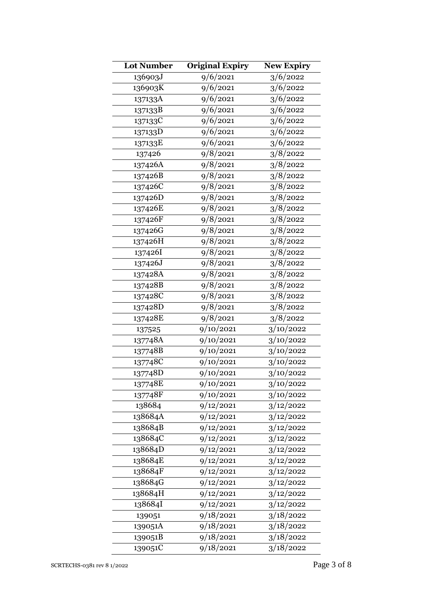| <b>Lot Number</b>    | <b>Original Expiry</b> | <b>New Expiry</b> |
|----------------------|------------------------|-------------------|
| 136903J              | 9/6/2021               | 3/6/2022          |
| 136903K              | 9/6/2021               | 3/6/2022          |
| 137133A              | 9/6/2021               | 3/6/2022          |
| 137133B              | 9/6/2021               | 3/6/2022          |
| 137133C              | 9/6/2021               | 3/6/2022          |
| 137133D              | 9/6/2021               | 3/6/2022          |
| 137133E              | 9/6/2021               | 3/6/2022          |
| 137426               | 9/8/2021               | 3/8/2022          |
| 137426A              | 9/8/2021               | 3/8/2022          |
| 137426B              | 9/8/2021               | 3/8/2022          |
| 137426C              | 9/8/2021               | 3/8/2022          |
| 137426D              | 9/8/2021               | 3/8/2022          |
| 137426E              | 9/8/2021               | 3/8/2022          |
| 137426F              | 9/8/2021               | 3/8/2022          |
| 137426G              | 9/8/2021               | 3/8/2022          |
| 137426H              | 9/8/2021               | 3/8/2022          |
| 137426I              | 9/8/2021               | 3/8/2022          |
| 137426J              | 9/8/2021               | 3/8/2022          |
| $137428\overline{A}$ | 9/8/2021               | 3/8/2022          |
| 137428B              | 9/8/2021               | 3/8/2022          |
| 137428C              | 9/8/2021               | 3/8/2022          |
| 137428D              | 9/8/2021               | 3/8/2022          |
| 137428E              | 9/8/2021               | 3/8/2022          |
| 137525               | 9/10/2021              | 3/10/2022         |
| 137748A              | 9/10/2021              | 3/10/2022         |
| 137748B              | 9/10/2021              | 3/10/2022         |
| 137748C              | 9/10/2021              | 3/10/2022         |
| 137748D              | 9/10/2021              | 3/10/2022         |
| 137748E              | 9/10/2021              | 3/10/2022         |
| 137748F              | 9/10/2021              | 3/10/2022         |
| 138684               | 9/12/2021              | 3/12/2022         |
| 138684A              | 9/12/2021              | 3/12/2022         |
| 138684B              | 9/12/2021              | 3/12/2022         |
| 138684C              | 9/12/2021              | 3/12/2022         |
| 138684D              | 9/12/2021              | 3/12/2022         |
| 138684E              | 9/12/2021              | 3/12/2022         |
| 138684F              | 9/12/2021              | 3/12/2022         |
| 138684G              | 9/12/2021              | 3/12/2022         |
| 138684H              | 9/12/2021              | 3/12/2022         |
| 138684I              | 9/12/2021              | 3/12/2022         |
| 139051               | 9/18/2021              | 3/18/2022         |
| 139051A              | 9/18/2021              | 3/18/2022         |
| 139051B              | 9/18/2021              | 3/18/2022         |
| 139051C              | 9/18/2021              | 3/18/2022         |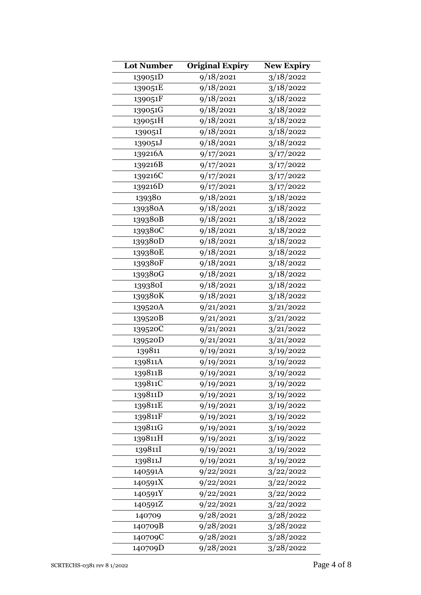| <b>Lot Number</b> | <b>Original Expiry</b> | New Expiry |
|-------------------|------------------------|------------|
| 139051D           | 9/18/2021              | 3/18/2022  |
| 139051E           | 9/18/2021              | 3/18/2022  |
| 139051F           | 9/18/2021              | 3/18/2022  |
| 139051G           | 9/18/2021              | 3/18/2022  |
| 139051H           | 9/18/2021              | 3/18/2022  |
| 139051I           | 9/18/2021              | 3/18/2022  |
| 139051J           | 9/18/2021              | 3/18/2022  |
| 139216A           | 9/17/2021              | 3/17/2022  |
| 139216B           | 9/17/2021              | 3/17/2022  |
| 139216C           | 9/17/2021              | 3/17/2022  |
| 139216D           | 9/17/2021              | 3/17/2022  |
| 139380            | 9/18/2021              | 3/18/2022  |
| 139380A           | 9/18/2021              | 3/18/2022  |
| 139380B           | 9/18/2021              | 3/18/2022  |
| 139380C           | 9/18/2021              | 3/18/2022  |
| 139380D           | 9/18/2021              | 3/18/2022  |
| 139380E           | 9/18/2021              | 3/18/2022  |
| 139380F           | 9/18/2021              | 3/18/2022  |
| 139380G           | 9/18/2021              | 3/18/2022  |
| 139380I           | 9/18/2021              | 3/18/2022  |
| 139380K           | 9/18/2021              | 3/18/2022  |
| 139520A           | 9/21/2021              | 3/21/2022  |
| 139520B           | 9/21/2021              | 3/21/2022  |
| 139520C           | 9/21/2021              | 3/21/2022  |
| 139520D           | 9/21/2021              | 3/21/2022  |
| 139811            | 9/19/2021              | 3/19/2022  |
| 139811A           | 9/19/2021              | 3/19/2022  |
| 139811B           | 9/19/2021              | 3/19/2022  |
| 139811C           | 9/19/2021              | 3/19/2022  |
| 139811D           | 9/19/2021              | 3/19/2022  |
| 139811E           | 9/19/2021              | 3/19/2022  |
| 139811F           | 9/19/2021              | 3/19/2022  |
| 139811G           | 9/19/2021              | 3/19/2022  |
| 139811H           | 9/19/2021              | 3/19/2022  |
| 139811I           | 9/19/2021              | 3/19/2022  |
| 139811J           | 9/19/2021              | 3/19/2022  |
| 140591A           | 9/22/2021              | 3/22/2022  |
| 140591X           | 9/22/2021              | 3/22/2022  |
| 140591Y           | 9/22/2021              | 3/22/2022  |
| 140591Z           | 9/22/2021              | 3/22/2022  |
| 140709            | 9/28/2021              | 3/28/2022  |
| 140709B           | 9/28/2021              | 3/28/2022  |
| 140709C           | 9/28/2021              | 3/28/2022  |
| 140709D           | 9/28/2021              | 3/28/2022  |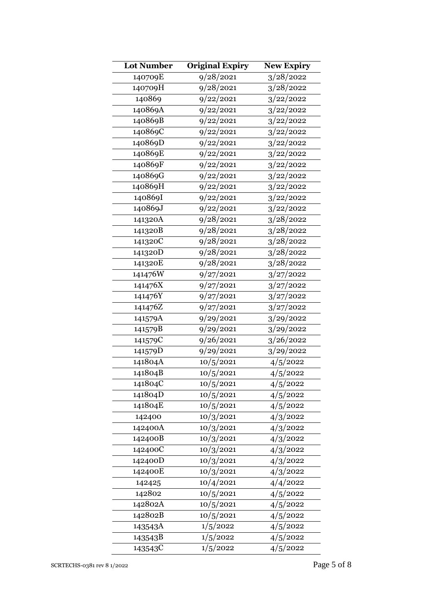| <b>Lot Number</b> | <b>Original Expiry</b> | <b>New Expiry</b> |
|-------------------|------------------------|-------------------|
| 140709E           | 9/28/2021              | 3/28/2022         |
| 140709H           | 9/28/2021              | 3/28/2022         |
| 140869            | 9/22/2021              | 3/22/2022         |
| 140869A           | 9/22/2021              | 3/22/2022         |
| 140869B           | 9/22/2021              | 3/22/2022         |
| 140869C           | 9/22/2021              | 3/22/2022         |
| 140869D           | 9/22/2021              | 3/22/2022         |
| 140869E           | 9/22/2021              | 3/22/2022         |
| 140869F           | 9/22/2021              | 3/22/2022         |
| 140869G           | 9/22/2021              | 3/22/2022         |
| 140869H           | 9/22/2021              | 3/22/2022         |
| 140869I           | 9/22/2021              | 3/22/2022         |
| 140869J           | 9/22/2021              | 3/22/2022         |
| 141320A           | 9/28/2021              | 3/28/2022         |
| 141320B           | 9/28/2021              | 3/28/2022         |
| 141320C           | 9/28/2021              | 3/28/2022         |
| 141320D           | 9/28/2021              | 3/28/2022         |
| 141320E           | 9/28/2021              | 3/28/2022         |
| 141476W           | 9/27/2021              | 3/27/2022         |
| 141476X           | 9/27/2021              | 3/27/2022         |
| 141476Y           | 9/27/2021              | 3/27/2022         |
| 141476Z           | 9/27/2021              | 3/27/2022         |
| 141579A           | 9/29/2021              | 3/29/2022         |
| 141579B           | 9/29/2021              | 3/29/2022         |
| 141579C           | 9/26/2021              | 3/26/2022         |
| 141579D           | 9/29/2021              | 3/29/2022         |
| 141804A           | 10/5/2021              | 4/5/2022          |
| 141804B           | 10/5/2021              | 4/5/2022          |
| 141804C           | 10/5/2021              | 4/5/2022          |
| 141804D           | 10/5/2021              | 4/5/2022          |
| 141804E           | 10/5/2021              | 4/5/2022          |
| 142400            | 10/3/2021              | 4/3/2022          |
| 142400A           | 10/3/2021              | 4/3/2022          |
| 142400B           | 10/3/2021              | 4/3/2022          |
| 142400C           | 10/3/2021              | 4/3/2022          |
| 142400D           | 10/3/2021              | 4/3/2022          |
| 142400E           | 10/3/2021              | 4/3/2022          |
| 142425            | 10/4/2021              | 4/4/2022          |
| 142802            | 10/5/2021              | 4/5/2022          |
| 142802A           | 10/5/2021              | 4/5/2022          |
| 142802B           | 10/5/2021              | 4/5/2022          |
| 143543A           | 1/5/2022               | 4/5/2022          |
| 143543B           | 1/5/2022               | 4/5/2022          |
| 143543C           | 1/5/2022               | 4/5/2022          |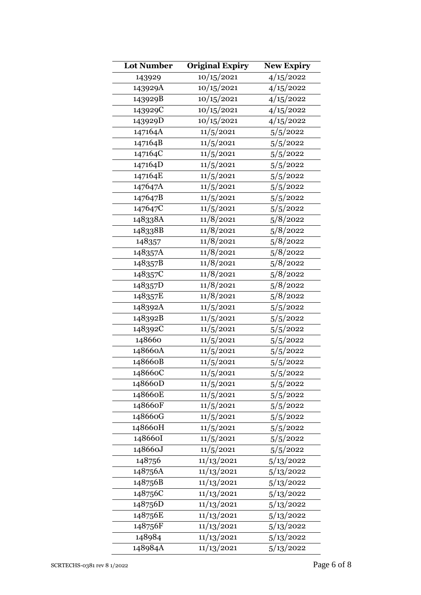| <b>Lot Number</b> | <b>Original Expiry</b> | <b>New Expiry</b> |
|-------------------|------------------------|-------------------|
| 143929            | 10/15/2021             | 4/15/2022         |
| 143929A           | 10/15/2021             | 4/15/2022         |
| 143929B           | 10/15/2021             | 4/15/2022         |
| 143929C           | 10/15/2021             | 4/15/2022         |
| 143929D           | 10/15/2021             | 4/15/2022         |
| 147164A           | 11/5/2021              | 5/5/2022          |
| 147164B           | 11/5/2021              | 5/5/2022          |
| 147164C           | 11/5/2021              | 5/5/2022          |
| 147164D           | 11/5/2021              | 5/5/2022          |
| 147164E           | 11/5/2021              | 5/5/2022          |
| 147647A           | 11/5/2021              | 5/5/2022          |
| 147647B           | 11/5/2021              | 5/5/2022          |
| 147647C           | 11/5/2021              | 5/5/2022          |
| 148338A           | 11/8/2021              | 5/8/2022          |
| 148338B           | 11/8/2021              | 5/8/2022          |
| 148357            | 11/8/2021              | 5/8/2022          |
| 148357A           | 11/8/2021              | 5/8/2022          |
| 148357B           | 11/8/2021              | 5/8/2022          |
| 148357C           | 11/8/2021              | 5/8/2022          |
| 148357D           | 11/8/2021              | 5/8/2022          |
| 148357E           | 11/8/2021              | 5/8/2022          |
| 148392A           | 11/5/2021              | 5/5/2022          |
| 148392B           | 11/5/2021              | 5/5/2022          |
| 148392C           | 11/5/2021              | 5/5/2022          |
| 148660            | 11/5/2021              | 5/5/2022          |
| 148660A           | 11/5/2021              | 5/5/2022          |
| 148660B           | 11/5/2021              | 5/5/2022          |
| 14866oC           | 11/5/2021              | 5/5/2022          |
| 148660D           | 11/5/2021              | 5/5/2022          |
| 148660E           | 11/5/2021              | 5/5/2022          |
| 148660F           | 11/5/2021              | 5/5/2022          |
| 148660G           | 11/5/2021              | 5/5/2022          |
| 148660H           | 11/5/2021              | 5/5/2022          |
| 148660I           | 11/5/2021              | 5/5/2022          |
| 148660J           | 11/5/2021              | 5/5/2022          |
| 148756            | 11/13/2021             | 5/13/2022         |
| 148756A           | 11/13/2021             | 5/13/2022         |
| 148756B           | 11/13/2021             | 5/13/2022         |
| 148756C           | 11/13/2021             | 5/13/2022         |
| 148756D           | 11/13/2021             | 5/13/2022         |
| 148756E           | 11/13/2021             | 5/13/2022         |
| 148756F           | 11/13/2021             | 5/13/2022         |
| 148984            | 11/13/2021             | 5/13/2022         |
| 148984A           | 11/13/2021             | 5/13/2022         |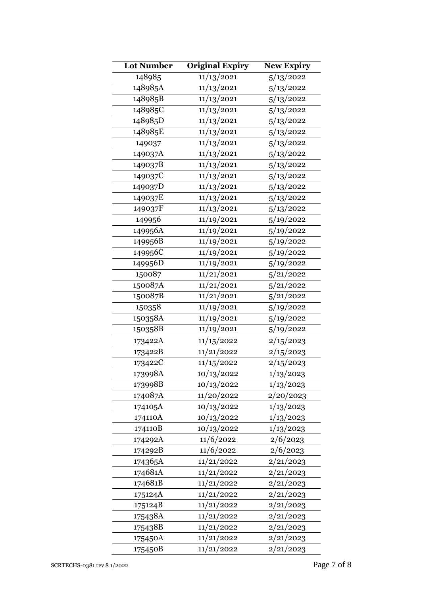| <b>Lot Number</b> | <b>Original Expiry</b> | <b>New Expiry</b> |
|-------------------|------------------------|-------------------|
| 148985            | 11/13/2021             | 5/13/2022         |
| 148985A           | 11/13/2021             | 5/13/2022         |
| 148985B           | 11/13/2021             | 5/13/2022         |
| 148985C           | 11/13/2021             | 5/13/2022         |
| 148985D           | 11/13/2021             | 5/13/2022         |
| 148985E           | 11/13/2021             | 5/13/2022         |
| 149037            | 11/13/2021             | 5/13/2022         |
| 149037A           | 11/13/2021             | 5/13/2022         |
| 149037B           | 11/13/2021             | 5/13/2022         |
| 149037C           | 11/13/2021             | 5/13/2022         |
| 149037D           | 11/13/2021             | 5/13/2022         |
| 149037E           | 11/13/2021             | 5/13/2022         |
| 149037F           | 11/13/2021             | 5/13/2022         |
| 149956            | 11/19/2021             | 5/19/2022         |
| 149956A           | 11/19/2021             | 5/19/2022         |
| 149956B           | 11/19/2021             | 5/19/2022         |
| 149956C           | 11/19/2021             | 5/19/2022         |
| 149956D           | 11/19/2021             | 5/19/2022         |
| 150087            | 11/21/2021             | 5/21/2022         |
| 150087A           | 11/21/2021             | 5/21/2022         |
| 150087B           | 11/21/2021             | 5/21/2022         |
| 150358            | 11/19/2021             | 5/19/2022         |
| 150358A           | 11/19/2021             | 5/19/2022         |
| 150358B           | 11/19/2021             | 5/19/2022         |
| 173422A           | 11/15/2022             | 2/15/2023         |
| 173422B           | 11/21/2022             | 2/15/2023         |
| 173422C           | 11/15/2022             | 2/15/2023         |
| 173998A           | 10/13/2022             | 1/13/2023         |
| 173998B           | 10/13/2022             | 1/13/2023         |
| 174087A           | 11/20/2022             | 2/20/2023         |
| 174105A           | 10/13/2022             | 1/13/2023         |
| 174110A           | 10/13/2022             | 1/13/2023         |
| 174110B           | 10/13/2022             | 1/13/2023         |
| 174292A           | 11/6/2022              | 2/6/2023          |
| 174292B           | 11/6/2022              | 2/6/2023          |
| 174365A           | 11/21/2022             | 2/21/2023         |
| 174681A           | 11/21/2022             | 2/21/2023         |
| 174681B           | 11/21/2022             | 2/21/2023         |
| 175124A           | 11/21/2022             | 2/21/2023         |
| 175124B           | 11/21/2022             | 2/21/2023         |
| 175438A           | 11/21/2022             | 2/21/2023         |
| 175438B           | 11/21/2022             | 2/21/2023         |
| 175450A           | 11/21/2022             | 2/21/2023         |
| 175450B           | 11/21/2022             | 2/21/2023         |